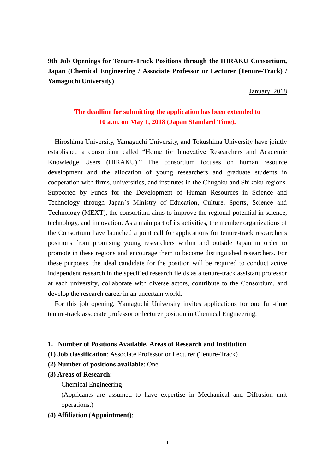**9th Job Openings for Tenure-Track Positions through the HIRAKU Consortium, Japan (Chemical Engineering / Associate Professor or Lecturer (Tenure-Track) / Yamaguchi University)**

January 2018

# **The deadline for submitting the application has been extended to 10 a.m. on May 1, 2018 (Japan Standard Time).**

Hiroshima University, Yamaguchi University, and Tokushima University have jointly established a consortium called "Home for Innovative Researchers and Academic Knowledge Users (HIRAKU)." The consortium focuses on human resource development and the allocation of young researchers and graduate students in cooperation with firms, universities, and institutes in the Chugoku and Shikoku regions. Supported by Funds for the Development of Human Resources in Science and Technology through Japan's Ministry of Education, Culture, Sports, Science and Technology (MEXT), the consortium aims to improve the regional potential in science, technology, and innovation. As a main part of its activities, the member organizations of the Consortium have launched a joint call for applications for tenure-track researcher's positions from promising young researchers within and outside Japan in order to promote in these regions and encourage them to become distinguished researchers. For these purposes, the ideal candidate for the position will be required to conduct active independent research in the specified research fields as a tenure-track assistant professor at each university, collaborate with diverse actors, contribute to the Consortium, and develop the research career in an uncertain world.

For this job opening, Yamaguchi University invites applications for one full-time tenure-track associate professor or lecturer position in Chemical Engineering.

#### **1. Number of Positions Available, Areas of Research and Institution**

- **(1) Job classification**: Associate Professor or Lecturer (Tenure-Track)
- **(2) Number of positions available**: One
- **(3) Areas of Research**:
	- Chemical Engineering

(Applicants are assumed to have expertise in Mechanical and Diffusion unit operations.)

**(4) Affiliation (Appointment)**: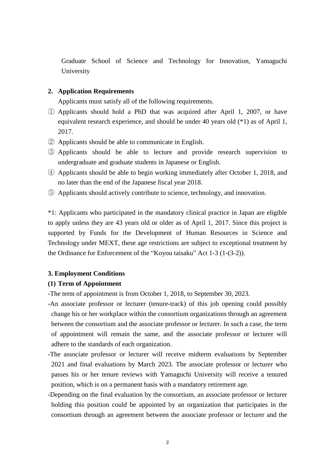Graduate School of Science and Technology for Innovation, Yamaguchi University

### **2. Application Requirements**

Applicants must satisfy all of the following requirements.

- ① Applicants should hold a PhD that was acquired after April 1, 2007, or have equivalent research experience, and should be under 40 years old (\*1) as of April 1, 2017.
- ② Applicants should be able to communicate in English.
- ③ Applicants should be able to lecture and provide research supervision to undergraduate and graduate students in Japanese or English.
- ④ Applicants should be able to begin working immediately after October 1, 2018, and no later than the end of the Japanese fiscal year 2018.
- ⑤ Applicants should actively contribute to science, technology, and innovation.

\*1: Applicants who participated in the mandatory clinical practice in Japan are eligible to apply unless they are 43 years old or older as of April 1, 2017. Since this project is supported by Funds for the Development of Human Resources in Science and Technology under MEXT, these age restrictions are subject to exceptional treatment by the Ordinance for Enforcement of the "Koyou taisaku" Act 1-3 (1-(3-2)).

# **3. Employment Conditions**

## **(1) Term of Appointment**

-The term of appointment is from October 1, 2018, to September 30, 2023.

- -An associate professor or lecturer (tenure-track) of this job opening could possibly change his or her workplace within the consortium organizations through an agreement between the consortium and the associate professor or lecturer. In such a case, the term of appointment will remain the same, and the associate professor or lecturer will adhere to the standards of each organization.
- -The associate professor or lecturer will receive midterm evaluations by September 2021 and final evaluations by March 2023. The associate professor or lecturer who passes his or her tenure reviews with Yamaguchi University will receive a tenured position, which is on a permanent basis with a mandatory retirement age.
- -Depending on the final evaluation by the consortium, an associate professor or lecturer holding this position could be appointed by an organization that participates in the consortium through an agreement between the associate professor or lecturer and the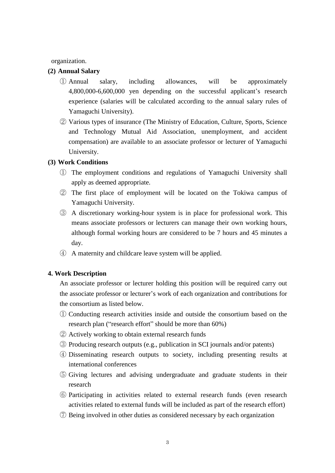organization.

#### **(2) Annual Salary**

- ① Annual salary, including allowances, will be approximately 4,800,000-6,600,000 yen depending on the successful applicant's research experience (salaries will be calculated according to the annual salary rules of Yamaguchi University).
- ② Various types of insurance (The Ministry of Education, Culture, Sports, Science and Technology Mutual Aid Association, unemployment, and accident compensation) are available to an associate professor or lecturer of Yamaguchi University.

#### **(3) Work Conditions**

- ① The employment conditions and regulations of Yamaguchi University shall apply as deemed appropriate.
- ② The first place of employment will be located on the Tokiwa campus of Yamaguchi University.
- ③ A discretionary working-hour system is in place for professional work. This means associate professors or lecturers can manage their own working hours, although formal working hours are considered to be 7 hours and 45 minutes a day.
- ④ A maternity and childcare leave system will be applied.

### **4. Work Description**

An associate professor or lecturer holding this position will be required carry out the associate professor or lecturer's work of each organization and contributions for the consortium as listed below.

- ① Conducting research activities inside and outside the consortium based on the research plan ("research effort" should be more than 60%)
- ② Actively working to obtain external research funds
- ③ Producing research outputs (e.g., publication in SCI journals and/or patents)
- ④ Disseminating research outputs to society, including presenting results at international conferences
- ⑤ Giving lectures and advising undergraduate and graduate students in their research
- ⑥ Participating in activities related to external research funds (even research activities related to external funds will be included as part of the research effort)
- ⑦ Being involved in other duties as considered necessary by each organization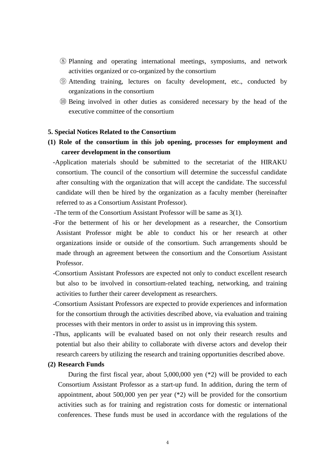- ⑧ Planning and operating international meetings, symposiums, and network activities organized or co-organized by the consortium
- ⑨ Attending training, lectures on faculty development, etc., conducted by organizations in the consortium
- ⑩ Being involved in other duties as considered necessary by the head of the executive committee of the consortium

#### **5. Special Notices Related to the Consortium**

- **(1) Role of the consortium in this job opening, processes for employment and career development in the consortium**
	- -Application materials should be submitted to the secretariat of the HIRAKU consortium. The council of the consortium will determine the successful candidate after consulting with the organization that will accept the candidate. The successful candidate will then be hired by the organization as a faculty member (hereinafter referred to as a Consortium Assistant Professor).
	- -The term of the Consortium Assistant Professor will be same as 3(1).
	- -For the betterment of his or her development as a researcher, the Consortium Assistant Professor might be able to conduct his or her research at other organizations inside or outside of the consortium. Such arrangements should be made through an agreement between the consortium and the Consortium Assistant Professor.
	- -Consortium Assistant Professors are expected not only to conduct excellent research but also to be involved in consortium-related teaching, networking, and training activities to further their career development as researchers.
	- -Consortium Assistant Professors are expected to provide experiences and information for the consortium through the activities described above, via evaluation and training processes with their mentors in order to assist us in improving this system.
	- -Thus, applicants will be evaluated based on not only their research results and potential but also their ability to collaborate with diverse actors and develop their research careers by utilizing the research and training opportunities described above.

#### **(2) Research Funds**

During the first fiscal year, about 5,000,000 yen (\*2) will be provided to each Consortium Assistant Professor as a start-up fund. In addition, during the term of appointment, about 500,000 yen per year (\*2) will be provided for the consortium activities such as for training and registration costs for domestic or international conferences. These funds must be used in accordance with the regulations of the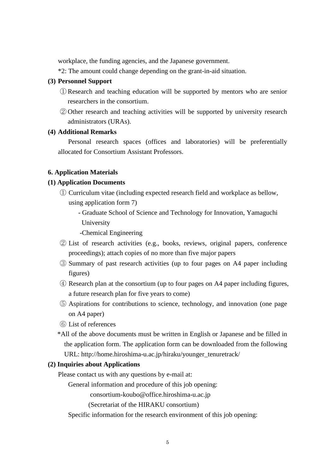workplace, the funding agencies, and the Japanese government.

\*2: The amount could change depending on the grant-in-aid situation.

### **(3) Personnel Support**

- ① Research and teaching education will be supported by mentors who are senior researchers in the consortium.
- ② Other research and teaching activities will be supported by university research administrators (URAs).

### **(4) Additional Remarks**

Personal research spaces (offices and laboratories) will be preferentially allocated for Consortium Assistant Professors.

#### **6. Application Materials**

### **(1) Application Documents**

- ① Curriculum vitae (including expected research field and workplace as bellow, using application form 7)
	- Graduate School of Science and Technology for Innovation, Yamaguchi University

-Chemical Engineering

- ② List of research activities (e.g., books, reviews, original papers, conference proceedings); attach copies of no more than five major papers
- ③ Summary of past research activities (up to four pages on A4 paper including figures)
- ④ Research plan at the consortium (up to four pages on A4 paper including figures, a future research plan for five years to come)
- ⑤ Aspirations for contributions to science, technology, and innovation (one page on A4 paper)
- ⑥ List of references
- \*All of the above documents must be written in English or Japanese and be filled in the application form. The application form can be downloaded from the following URL: http://home.hiroshima-u.ac.jp/hiraku/younger\_tenuretrack/

#### **(2) Inquiries about Applications**

Please contact us with any questions by e-mail at:

General information and procedure of this job opening:

consortium-koubo@office.hiroshima-u.ac.jp

(Secretariat of the HIRAKU consortium)

Specific information for the research environment of this job opening: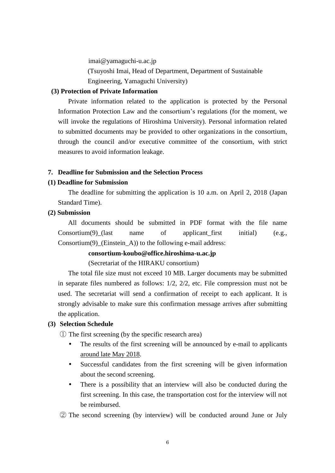imai@yamaguchi-u.ac.jp (Tsuyoshi Imai, Head of Department, Department of Sustainable Engineering, Yamaguchi University)

## **(3) Protection of Private Information**

Private information related to the application is protected by the Personal Information Protection Law and the consortium's regulations (for the moment, we will invoke the regulations of Hiroshima University). Personal information related to submitted documents may be provided to other organizations in the consortium, through the council and/or executive committee of the consortium, with strict measures to avoid information leakage.

#### **7. Deadline for Submission and the Selection Process**

### **(1) Deadline for Submission**

The deadline for submitting the application is 10 a.m. on April 2, 2018 (Japan Standard Time).

### **(2) Submission**

All documents should be submitted in PDF format with the file name  $Consortium(9)$  (last name of applicant first initial) (e.g., Consortium(9) (Einstein A)) to the following e-mail address:

# **consortium-koubo@office.hiroshima-u.ac.jp**

(Secretariat of the HIRAKU consortium)

The total file size must not exceed 10 MB. Larger documents may be submitted in separate files numbered as follows: 1/2, 2/2, etc. File compression must not be used. The secretariat will send a confirmation of receipt to each applicant. It is strongly advisable to make sure this confirmation message arrives after submitting the application.

### **(3) Selection Schedule**

① The first screening (by the specific research area)

- The results of the first screening will be announced by e-mail to applicants around late May 2018.
- Successful candidates from the first screening will be given information about the second screening.
- There is a possibility that an interview will also be conducted during the first screening. In this case, the transportation cost for the interview will not be reimbursed.

② The second screening (by interview) will be conducted around June or July